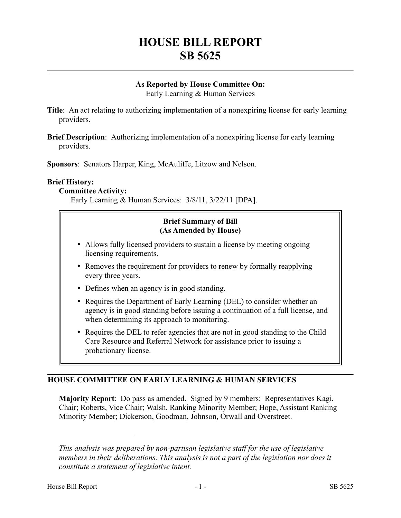# **HOUSE BILL REPORT SB 5625**

# **As Reported by House Committee On:**

Early Learning & Human Services

**Title**: An act relating to authorizing implementation of a nonexpiring license for early learning providers.

**Brief Description**: Authorizing implementation of a nonexpiring license for early learning providers.

**Sponsors**: Senators Harper, King, McAuliffe, Litzow and Nelson.

#### **Brief History:**

#### **Committee Activity:**

Early Learning & Human Services: 3/8/11, 3/22/11 [DPA].

## **Brief Summary of Bill (As Amended by House)**

- Allows fully licensed providers to sustain a license by meeting ongoing licensing requirements.
- Removes the requirement for providers to renew by formally reapplying every three years.
- Defines when an agency is in good standing.
- Requires the Department of Early Learning (DEL) to consider whether an agency is in good standing before issuing a continuation of a full license, and when determining its approach to monitoring.
- Requires the DEL to refer agencies that are not in good standing to the Child Care Resource and Referral Network for assistance prior to issuing a probationary license.

# **HOUSE COMMITTEE ON EARLY LEARNING & HUMAN SERVICES**

**Majority Report**: Do pass as amended. Signed by 9 members: Representatives Kagi, Chair; Roberts, Vice Chair; Walsh, Ranking Minority Member; Hope, Assistant Ranking Minority Member; Dickerson, Goodman, Johnson, Orwall and Overstreet.

––––––––––––––––––––––

*This analysis was prepared by non-partisan legislative staff for the use of legislative members in their deliberations. This analysis is not a part of the legislation nor does it constitute a statement of legislative intent.*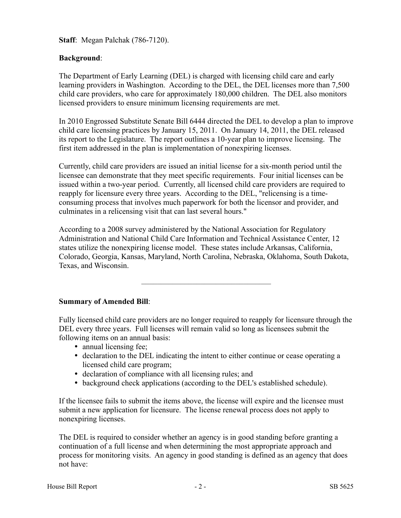**Staff**: Megan Palchak (786-7120).

## **Background**:

The Department of Early Learning (DEL) is charged with licensing child care and early learning providers in Washington. According to the DEL, the DEL licenses more than 7,500 child care providers, who care for approximately 180,000 children. The DEL also monitors licensed providers to ensure minimum licensing requirements are met.

In 2010 Engrossed Substitute Senate Bill 6444 directed the DEL to develop a plan to improve child care licensing practices by January 15, 2011. On January 14, 2011, the DEL released its report to the Legislature. The report outlines a 10-year plan to improve licensing. The first item addressed in the plan is implementation of nonexpiring licenses.

Currently, child care providers are issued an initial license for a six-month period until the licensee can demonstrate that they meet specific requirements. Four initial licenses can be issued within a two-year period. Currently, all licensed child care providers are required to reapply for licensure every three years. According to the DEL, "relicensing is a timeconsuming process that involves much paperwork for both the licensor and provider, and culminates in a relicensing visit that can last several hours."

According to a 2008 survey administered by the National Association for Regulatory Administration and National Child Care Information and Technical Assistance Center, 12 states utilize the nonexpiring license model. These states include Arkansas, California, Colorado, Georgia, Kansas, Maryland, North Carolina, Nebraska, Oklahoma, South Dakota, Texas, and Wisconsin.

–––––––––––––––––––––––––––––––––

**Summary of Amended Bill**:

Fully licensed child care providers are no longer required to reapply for licensure through the DEL every three years. Full licenses will remain valid so long as licensees submit the following items on an annual basis:

- annual licensing fee;
- declaration to the DEL indicating the intent to either continue or cease operating a licensed child care program;
- declaration of compliance with all licensing rules; and
- background check applications (according to the DEL's established schedule).

If the licensee fails to submit the items above, the license will expire and the licensee must submit a new application for licensure. The license renewal process does not apply to nonexpiring licenses.

The DEL is required to consider whether an agency is in good standing before granting a continuation of a full license and when determining the most appropriate approach and process for monitoring visits. An agency in good standing is defined as an agency that does not have: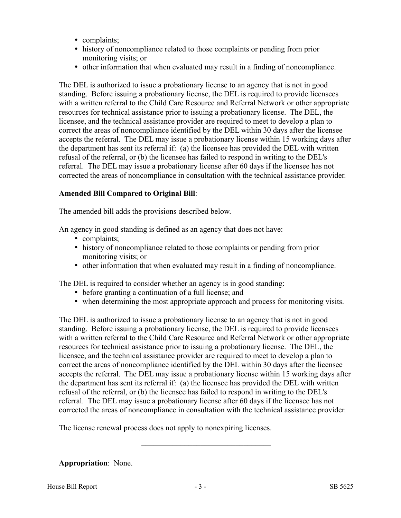- complaints;
- history of noncompliance related to those complaints or pending from prior monitoring visits; or
- other information that when evaluated may result in a finding of noncompliance.

The DEL is authorized to issue a probationary license to an agency that is not in good standing. Before issuing a probationary license, the DEL is required to provide licensees with a written referral to the Child Care Resource and Referral Network or other appropriate resources for technical assistance prior to issuing a probationary license. The DEL, the licensee, and the technical assistance provider are required to meet to develop a plan to correct the areas of noncompliance identified by the DEL within 30 days after the licensee accepts the referral. The DEL may issue a probationary license within 15 working days after the department has sent its referral if: (a) the licensee has provided the DEL with written refusal of the referral, or (b) the licensee has failed to respond in writing to the DEL's referral. The DEL may issue a probationary license after 60 days if the licensee has not corrected the areas of noncompliance in consultation with the technical assistance provider.

#### **Amended Bill Compared to Original Bill**:

The amended bill adds the provisions described below.

An agency in good standing is defined as an agency that does not have:

- complaints;
- history of noncompliance related to those complaints or pending from prior monitoring visits; or
- other information that when evaluated may result in a finding of noncompliance.

The DEL is required to consider whether an agency is in good standing:

- before granting a continuation of a full license; and
- when determining the most appropriate approach and process for monitoring visits.

The DEL is authorized to issue a probationary license to an agency that is not in good standing. Before issuing a probationary license, the DEL is required to provide licensees with a written referral to the Child Care Resource and Referral Network or other appropriate resources for technical assistance prior to issuing a probationary license. The DEL, the licensee, and the technical assistance provider are required to meet to develop a plan to correct the areas of noncompliance identified by the DEL within 30 days after the licensee accepts the referral. The DEL may issue a probationary license within 15 working days after the department has sent its referral if: (a) the licensee has provided the DEL with written refusal of the referral, or (b) the licensee has failed to respond in writing to the DEL's referral. The DEL may issue a probationary license after 60 days if the licensee has not corrected the areas of noncompliance in consultation with the technical assistance provider.

The license renewal process does not apply to nonexpiring licenses.

**Appropriation**: None.

–––––––––––––––––––––––––––––––––